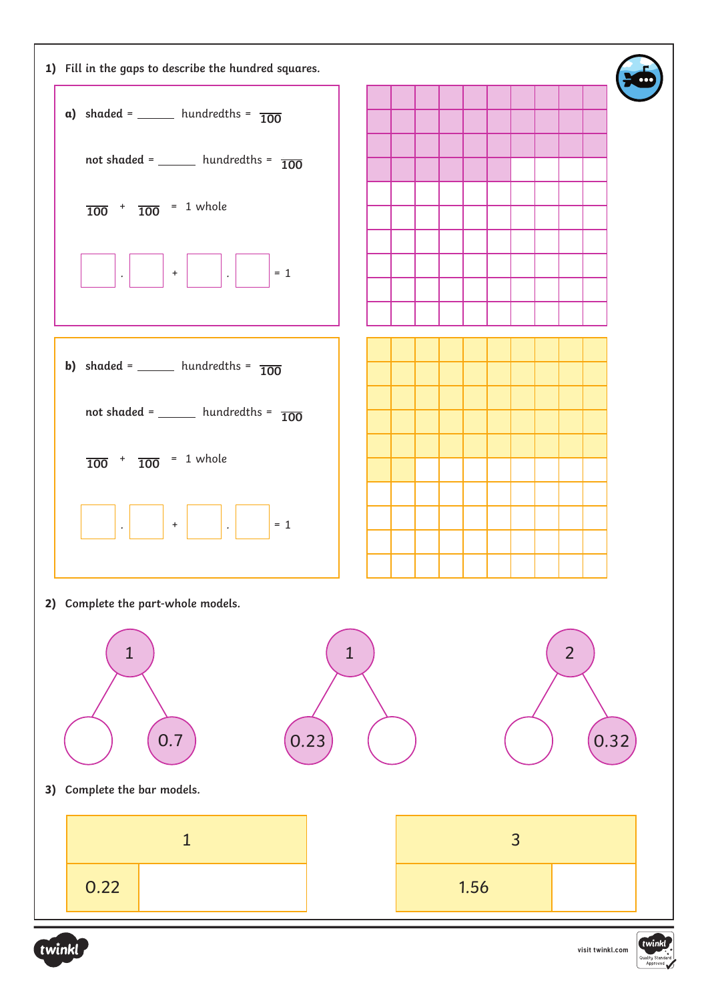



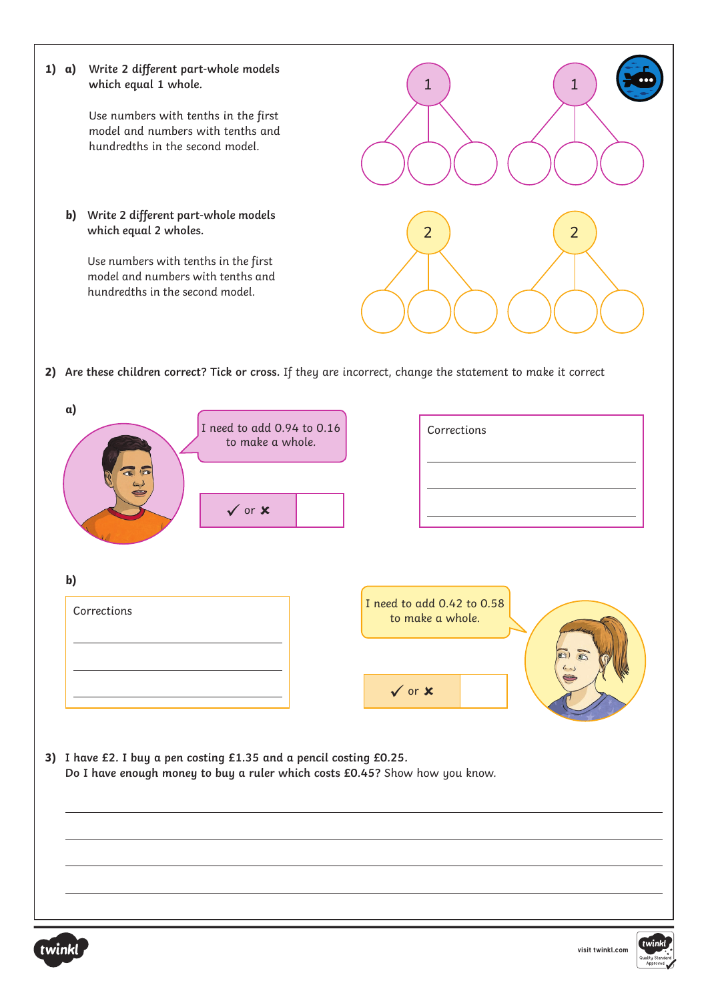

twink